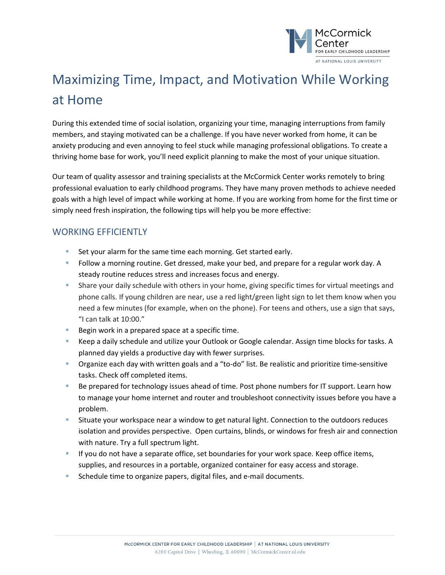

## Maximizing Time, Impact, and Motivation While Working at Home

During this extended time of social isolation, organizing your time, managing interruptions from family members, and staying motivated can be a challenge. If you have never worked from home, it can be anxiety producing and even annoying to feel stuck while managing professional obligations. To create a thriving home base for work, you'll need explicit planning to make the most of your unique situation.

Our team of quality assessor and training specialists at the McCormick Center works remotely to bring professional evaluation to early childhood programs. They have many proven methods to achieve needed goals with a high level of impact while working at home. If you are working from home for the first time or simply need fresh inspiration, the following tips will help you be more effective:

## WORKING EFFICIENTLY

- Set your alarm for the same time each morning. Get started early.
- Follow a morning routine. Get dressed, make your bed, and prepare for a regular work day. A steady routine reduces stress and increases focus and energy.
- Share your daily schedule with others in your home, giving specific times for virtual meetings and phone calls. If young children are near, use a red light/green light sign to let them know when you need a few minutes (for example, when on the phone). For teens and others, use a sign that says, "I can talk at 10:00."
- Begin work in a prepared space at a specific time.
- Keep a daily schedule and utilize your Outlook or Google calendar. Assign time blocks for tasks. A planned day yields a productive day with fewer surprises.
- Organize each day with written goals and a "to-do" list. Be realistic and prioritize time-sensitive tasks. Check off completed items.
- Be prepared for technology issues ahead of time. Post phone numbers for IT support. Learn how to manage your home internet and router and troubleshoot connectivity issues before you have a problem.
- Situate your workspace near a window to get natural light. Connection to the outdoors reduces isolation and provides perspective. Open curtains, blinds, or windows for fresh air and connection with nature. Try a full spectrum light.
- **If you do not have a separate office, set boundaries for your work space. Keep office items,** supplies, and resources in a portable, organized container for easy access and storage.
- **Schedule time to organize papers, digital files, and e-mail documents.**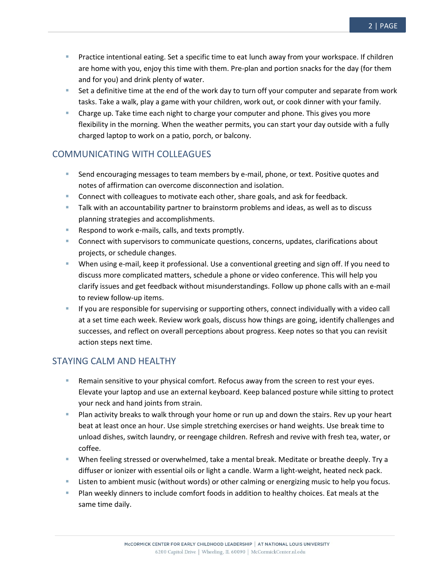- Practice intentional eating. Set a specific time to eat lunch away from your workspace. If children are home with you, enjoy this time with them. Pre-plan and portion snacks for the day (for them
- and for you) and drink plenty of water. Set a definitive time at the end of the work day to turn off your computer and separate from work tasks. Take a walk, play a game with your children, work out, or cook dinner with your family.
- Charge up. Take time each night to charge your computer and phone. This gives you more flexibility in the morning. When the weather permits, you can start your day outside with a fully charged laptop to work on a patio, porch, or balcony.

## COMMUNICATING WITH COLLEAGUES

- Send encouraging messages to team members by e-mail, phone, or text. Positive quotes and notes of affirmation can overcome disconnection and isolation.
- **Connect with colleagues to motivate each other, share goals, and ask for feedback.**
- **Talk with an accountability partner to brainstorm problems and ideas, as well as to discuss** planning strategies and accomplishments.
- Respond to work e-mails, calls, and texts promptly.
- **Connect with supervisors to communicate questions, concerns, updates, clarifications about** projects, or schedule changes.
- When using e-mail, keep it professional. Use a conventional greeting and sign off. If you need to discuss more complicated matters, schedule a phone or video conference. This will help you clarify issues and get feedback without misunderstandings. Follow up phone calls with an e-mail to review follow-up items.
- If you are responsible for supervising or supporting others, connect individually with a video call at a set time each week. Review work goals, discuss how things are going, identify challenges and successes, and reflect on overall perceptions about progress. Keep notes so that you can revisit action steps next time.

## STAYING CALM AND HEALTHY

- Remain sensitive to your physical comfort. Refocus away from the screen to rest your eyes. Elevate your laptop and use an external keyboard. Keep balanced posture while sitting to protect your neck and hand joints from strain.
- Plan activity breaks to walk through your home or run up and down the stairs. Rev up your heart beat at least once an hour. Use simple stretching exercises or hand weights. Use break time to unload dishes, switch laundry, or reengage children. Refresh and revive with fresh tea, water, or coffee.
- When feeling stressed or overwhelmed, take a mental break. Meditate or breathe deeply. Try a diffuser or ionizer with essential oils or light a candle. Warm a light-weight, heated neck pack.
- **EXECT 1** Listen to ambient music (without words) or other calming or energizing music to help you focus.
- Plan weekly dinners to include comfort foods in addition to healthy choices. Eat meals at the same time daily.